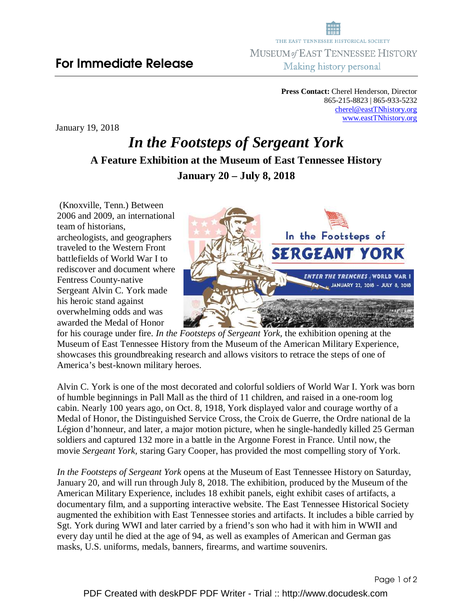**Press Contact:** Cherel Henderson, Director 865-215-8823 | 865-933-5232 cherel@eastTNhistory.org www.eastTNhistory.org

January 19, 2018

## *In the Footsteps of Sergeant York*  **A Feature Exhibition at the Museum of East Tennessee History January 20 – July 8, 2018**

 (Knoxville, Tenn.) Between 2006 and 2009, an international team of historians, archeologists, and geographers traveled to the Western Front battlefields of World War I to rediscover and document where Fentress County-native Sergeant Alvin C. York made his heroic stand against overwhelming odds and was awarded the Medal of Honor



for his courage under fire. *In the Footsteps of Sergeant York,* the exhibition opening at the Museum of East Tennessee History from the Museum of the American Military Experience, showcases this groundbreaking research and allows visitors to retrace the steps of one of America's best-known military heroes.

Alvin C. York is one of the most decorated and colorful soldiers of World War I. York was born of humble beginnings in Pall Mall as the third of 11 children, and raised in a one-room log cabin. Nearly 100 years ago, on Oct. 8, 1918, York displayed valor and courage worthy of a Medal of Honor, the Distinguished Service Cross, the Croix de Guerre, the Ordre national de la Légion d'honneur, and later, a major motion picture, when he single-handedly killed 25 German soldiers and captured 132 more in a battle in the Argonne Forest in France. Until now, the movie *Sergeant York,* staring Gary Cooper, has provided the most compelling story of York.

*In the Footsteps of Sergeant York* opens at the Museum of East Tennessee History on Saturday, January 20, and will run through July 8, 2018. The exhibition, produced by the Museum of the American Military Experience, includes 18 exhibit panels, eight exhibit cases of artifacts, a documentary film, and a supporting interactive website. The East Tennessee Historical Society augmented the exhibition with East Tennessee stories and artifacts. It includes a bible carried by Sgt. York during WWI and later carried by a friend's son who had it with him in WWII and every day until he died at the age of 94, as well as examples of American and German gas masks, U.S. uniforms, medals, banners, firearms, and wartime souvenirs.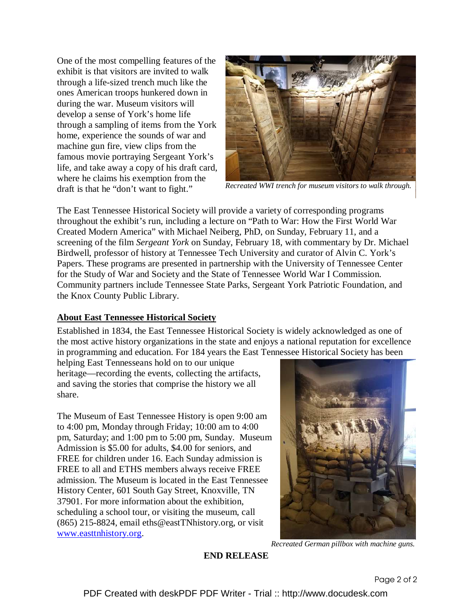One of the most compelling features of the exhibit is that visitors are invited to walk through a life-sized trench much like the ones American troops hunkered down in during the war. Museum visitors will develop a sense of York's home life through a sampling of items from the York home, experience the sounds of war and machine gun fire, view clips from the famous movie portraying Sergeant York's life, and take away a copy of his draft card, where he claims his exemption from the draft is that he "don't want to fight."



*Recreated WWI trench for museum visitors to walk through.*

The East Tennessee Historical Society will provide a variety of corresponding programs throughout the exhibit's run, including a lecture on "Path to War: How the First World War Created Modern America" with Michael Neiberg, PhD, on Sunday, February 11, and a screening of the film *Sergeant York* on Sunday, February 18, with commentary by Dr. Michael Birdwell, professor of history at Tennessee Tech University and curator of Alvin C. York's Papers. These programs are presented in partnership with the University of Tennessee Center for the Study of War and Society and the State of Tennessee World War I Commission. Community partners include Tennessee State Parks, Sergeant York Patriotic Foundation, and the Knox County Public Library.

## **About East Tennessee Historical Society**

Established in 1834, the East Tennessee Historical Society is widely acknowledged as one of the most active history organizations in the state and enjoys a national reputation for excellence in programming and education. For 184 years the East Tennessee Historical Society has been

helping East Tennesseans hold on to our unique heritage—recording the events, collecting the artifacts, and saving the stories that comprise the history we all share.

The Museum of East Tennessee History is open 9:00 am to 4:00 pm, Monday through Friday; 10:00 am to 4:00 pm, Saturday; and 1:00 pm to 5:00 pm, Sunday. Museum Admission is \$5.00 for adults, \$4.00 for seniors, and FREE for children under 16. Each Sunday admission is FREE to all and ETHS members always receive FREE admission. The Museum is located in the East Tennessee History Center, 601 South Gay Street, Knoxville, TN 37901. For more information about the exhibition, scheduling a school tour, or visiting the museum, call (865) 215-8824, email eths@eastTNhistory.org, or visit www.easttnhistory.org.



*Recreated German pillbox with machine guns.*

**END RELEASE**